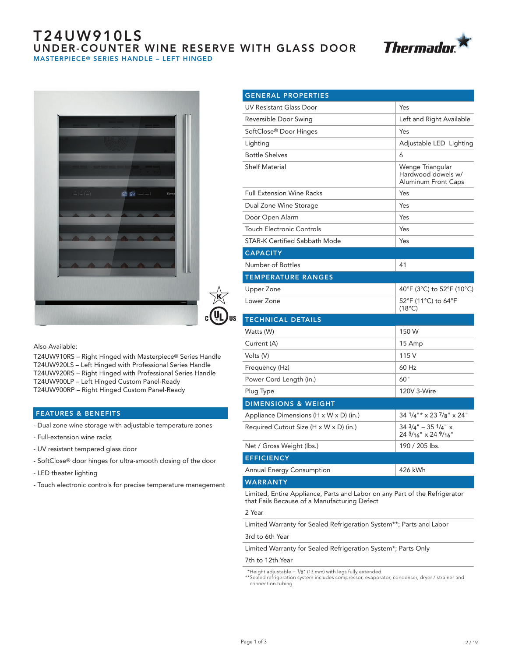# T24UW910LS UNDER-COUNTER WINE RESERVE WITH GLASS DOOR MASTERPIECE® SERIES HANDLE – LEFT HINGED







Also Available:

T24UW910RS – Right Hinged with Masterpiece® Series Handle T24UW920LS – Left Hinged with Professional Series Handle T24UW920RS – Right Hinged with Professional Series Handle T24UW900LP – Left Hinged Custom Panel-Ready T24UW900RP – Right Hinged Custom Panel-Ready

# FEATURES & BENEFITS

- Dual zone wine storage with adjustable temperature zones
- Full-extension wine racks
- UV resistant tempered glass door
- SoftClose® door hinges for ultra-smooth closing of the door
- LED theater lighting
- Touch electronic controls for precise temperature management

| <b>GENERAL PROPERTIES</b>              |                                                                      |
|----------------------------------------|----------------------------------------------------------------------|
| <b>UV Resistant Glass Door</b>         | Yes                                                                  |
| Reversible Door Swing                  | Left and Right Available                                             |
| SoftClose® Door Hinges                 | Yes                                                                  |
| Lighting                               | Adjustable LED Lighting                                              |
| <b>Bottle Shelves</b>                  | 6                                                                    |
| <b>Shelf Material</b>                  | Wenge Triangular<br>Hardwood dowels w/<br><b>Aluminum Front Caps</b> |
| <b>Full Extension Wine Racks</b>       | Yes                                                                  |
| Dual Zone Wine Storage                 | Yes                                                                  |
| Door Open Alarm                        | Yes                                                                  |
| <b>Touch Electronic Controls</b>       | Yes                                                                  |
| <b>STAR-K Certified Sabbath Mode</b>   | Yes                                                                  |
| <b>CAPACITY</b>                        |                                                                      |
| Number of Bottles                      | 41                                                                   |
| <b>TEMPERATURE RANGES</b>              |                                                                      |
| Upper Zone                             | 40°F (3°C) to 52°F (10°C)                                            |
| Lower Zone                             | 52°F (11°C) to 64°F<br>$(18^{\circ}C)$                               |
| <b>TECHNICAL DETAILS</b>               |                                                                      |
| Watts (W)                              | 150 W                                                                |
| Current (A)                            | 15 Amp                                                               |
| Volts (V)                              | 115 V                                                                |
| Frequency (Hz)                         | 60 Hz                                                                |
| Power Cord Length (in.)                | 60"                                                                  |
| Plug Type                              | 120V 3-Wire                                                          |
| <b>DIMENSIONS &amp; WEIGHT</b>         |                                                                      |
| Appliance Dimensions (H x W x D) (in.) | 34 1/4"* x 23 7/8" x 24"                                             |
| Required Cutout Size (H x W x D) (in.) | $343/4" - 351/4"$ x<br>24 3/16" x 24 9/16"                           |
| Net / Gross Weight (lbs.)              | 190 / 205 lbs.                                                       |
| <b>EFFICIENCY</b>                      |                                                                      |
| Annual Energy Consumption              | 426 kWh                                                              |
| <b>WARRANTY</b>                        |                                                                      |
|                                        |                                                                      |

Limited, Entire Appliance, Parts and Labor on any Part of the Refrigerator that Fails Because of a Manufacturing Defect

#### 2 Year

Limited Warranty for Sealed Refrigeration System\*\*; Parts and Labor

#### 3rd to 6th Year

Limited Warranty for Sealed Refrigeration System\*; Parts Only

### 7th to 12th Year

\*Height adjustable  $+1/2$ " (13 mm) with legs fully extended \*\*Sealed refrigeration system includes compressor, evaporator, condenser, dryer / strainer and

connection tubing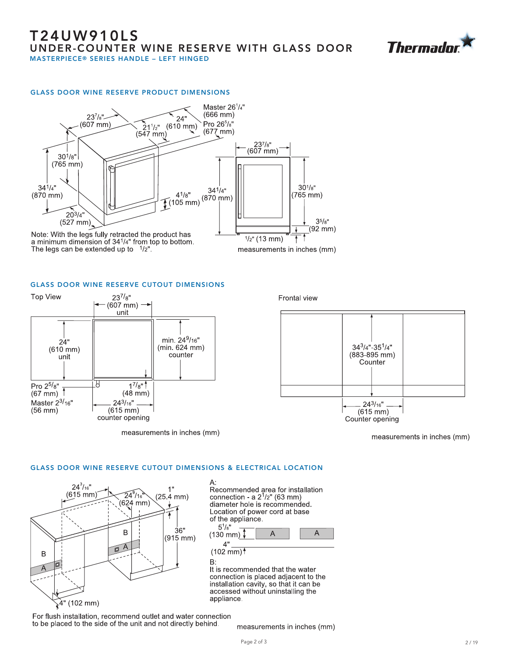

#### GLASS DOOR WINE RESERVE PRODUCT DIMENSIONS



GLASS DOOR WINE RESERVE CUTOUT DIMENSIONS



Frontal view



measurements in inches (mm)

#### GLASS DOOR WINE RESERVE CUTOUT DIMENSIONS & ELECTRICAL LOCATION



Recommended area for installation<br>connection - a  $2^1/2$ " (63 mm) diameter hole is recommended. Location of power cord at base of the appliance.



 $(102 \text{ mm})$ <sup>†</sup> B:

It is recommended that the water connection is placed adjacent to the installation cavity, so that it can be<br>accessed without uninstalling the appliance.

For flush installation, recommend outlet and water connection to be placed to the side of the unit and not directly behind.

measurements in inches (mm)